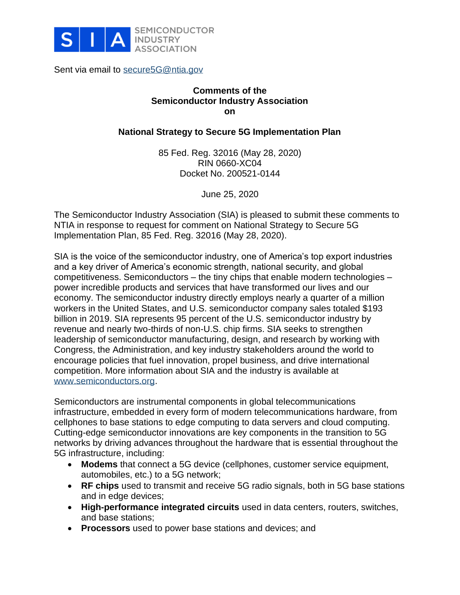

Sent via email to [secure5G@ntia.gov](mailto:secure5G@ntia.gov)

## **Comments of the Semiconductor Industry Association on**

### **National Strategy to Secure 5G Implementation Plan**

85 Fed. Reg. 32016 (May 28, 2020) RIN 0660-XC04 Docket No. 200521-0144

June 25, 2020

The Semiconductor Industry Association (SIA) is pleased to submit these comments to NTIA in response to request for comment on National Strategy to Secure 5G Implementation Plan, 85 Fed. Reg. 32016 (May 28, 2020).

SIA is the voice of the semiconductor industry, one of America's top export industries and a key driver of America's economic strength, national security, and global competitiveness. Semiconductors – the tiny chips that enable modern technologies – power incredible products and services that have transformed our lives and our economy. The semiconductor industry directly employs nearly a quarter of a million workers in the United States, and U.S. semiconductor company sales totaled \$193 billion in 2019. SIA represents 95 percent of the U.S. semiconductor industry by revenue and nearly two-thirds of non-U.S. chip firms. SIA seeks to strengthen leadership of semiconductor manufacturing, design, and research by working with Congress, the Administration, and key industry stakeholders around the world to encourage policies that fuel innovation, propel business, and drive international competition. More information about SIA and the industry is available at [www.semiconductors.org.](http://www.semiconductors.org/)

Semiconductors are instrumental components in global telecommunications infrastructure, embedded in every form of modern telecommunications hardware, from cellphones to base stations to edge computing to data servers and cloud computing. Cutting-edge semiconductor innovations are key components in the transition to 5G networks by driving advances throughout the hardware that is essential throughout the 5G infrastructure, including:

- **Modems** that connect a 5G device (cellphones, customer service equipment, automobiles, etc.) to a 5G network;
- **RF chips** used to transmit and receive 5G radio signals, both in 5G base stations and in edge devices;
- **High-performance integrated circuits** used in data centers, routers, switches, and base stations;
- **Processors** used to power base stations and devices; and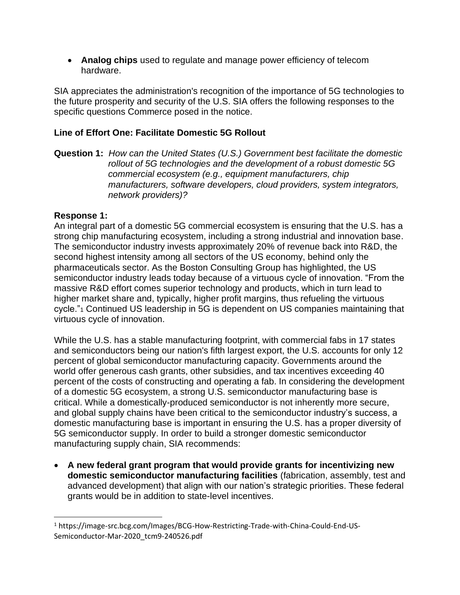• **Analog chips** used to regulate and manage power efficiency of telecom hardware.

SIA appreciates the administration's recognition of the importance of 5G technologies to the future prosperity and security of the U.S. SIA offers the following responses to the specific questions Commerce posed in the notice.

# **Line of Effort One: Facilitate Domestic 5G Rollout**

**Question 1:** *How can the United States (U.S.) Government best facilitate the domestic rollout of 5G technologies and the development of a robust domestic 5G commercial ecosystem (e.g., equipment manufacturers, chip manufacturers, software developers, cloud providers, system integrators, network providers)?*

## **Response 1:**

An integral part of a domestic 5G commercial ecosystem is ensuring that the U.S. has a strong chip manufacturing ecosystem, including a strong industrial and innovation base. The semiconductor industry invests approximately 20% of revenue back into R&D, the second highest intensity among all sectors of the US economy, behind only the pharmaceuticals sector. As the Boston Consulting Group has highlighted, the US semiconductor industry leads today because of a virtuous cycle of innovation. "From the massive R&D effort comes superior technology and products, which in turn lead to higher market share and, typically, higher profit margins, thus refueling the virtuous cycle."<sup>1</sup> Continued US leadership in 5G is dependent on US companies maintaining that virtuous cycle of innovation.

While the U.S. has a stable manufacturing footprint, with commercial fabs in 17 states and semiconductors being our nation's fifth largest export, the U.S. accounts for only 12 percent of global semiconductor manufacturing capacity. Governments around the world offer generous cash grants, other subsidies, and tax incentives exceeding 40 percent of the costs of constructing and operating a fab. In considering the development of a domestic 5G ecosystem, a strong U.S. semiconductor manufacturing base is critical. While a domestically-produced semiconductor is not inherently more secure, and global supply chains have been critical to the semiconductor industry's success, a domestic manufacturing base is important in ensuring the U.S. has a proper diversity of 5G semiconductor supply. In order to build a stronger domestic semiconductor manufacturing supply chain, SIA recommends:

• **A new federal grant program that would provide grants for incentivizing new domestic semiconductor manufacturing facilities** (fabrication, assembly, test and advanced development) that align with our nation's strategic priorities. These federal grants would be in addition to state-level incentives.

<sup>1</sup> https://image-src.bcg.com/Images/BCG-How-Restricting-Trade-with-China-Could-End-US-Semiconductor-Mar-2020\_tcm9-240526.pdf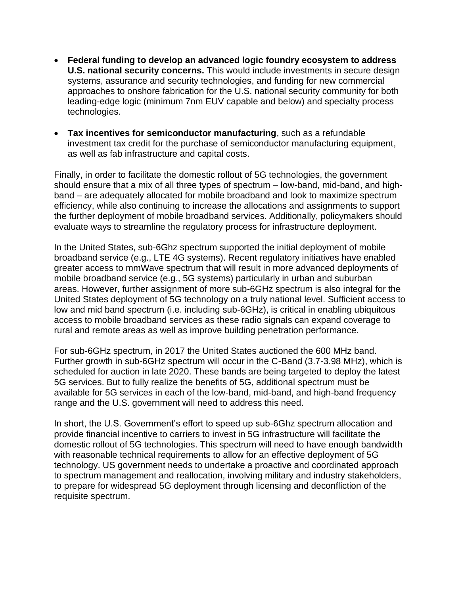- **Federal funding to develop an advanced logic foundry ecosystem to address U.S. national security concerns.** This would include investments in secure design systems, assurance and security technologies, and funding for new commercial approaches to onshore fabrication for the U.S. national security community for both leading-edge logic (minimum 7nm EUV capable and below) and specialty process technologies.
- **Tax incentives for semiconductor manufacturing**, such as a refundable investment tax credit for the purchase of semiconductor manufacturing equipment, as well as fab infrastructure and capital costs.

Finally, in order to facilitate the domestic rollout of 5G technologies, the government should ensure that a mix of all three types of spectrum – low-band, mid-band, and highband – are adequately allocated for mobile broadband and look to maximize spectrum efficiency, while also continuing to increase the allocations and assignments to support the further deployment of mobile broadband services. Additionally, policymakers should evaluate ways to streamline the regulatory process for infrastructure deployment.

In the United States, sub-6Ghz spectrum supported the initial deployment of mobile broadband service (e.g., LTE 4G systems). Recent regulatory initiatives have enabled greater access to mmWave spectrum that will result in more advanced deployments of mobile broadband service (e.g., 5G systems) particularly in urban and suburban areas. However, further assignment of more sub-6GHz spectrum is also integral for the United States deployment of 5G technology on a truly national level. Sufficient access to low and mid band spectrum (i.e. including sub-6GHz), is critical in enabling ubiquitous access to mobile broadband services as these radio signals can expand coverage to rural and remote areas as well as improve building penetration performance.

For sub-6GHz spectrum, in 2017 the United States auctioned the 600 MHz band. Further growth in sub-6GHz spectrum will occur in the C-Band (3.7-3.98 MHz), which is scheduled for auction in late 2020. These bands are being targeted to deploy the latest 5G services. But to fully realize the benefits of 5G, additional spectrum must be available for 5G services in each of the low-band, mid-band, and high-band frequency range and the U.S. government will need to address this need.

In short, the U.S. Government's effort to speed up sub-6Ghz spectrum allocation and provide financial incentive to carriers to invest in 5G infrastructure will facilitate the domestic rollout of 5G technologies. This spectrum will need to have enough bandwidth with reasonable technical requirements to allow for an effective deployment of 5G technology. US government needs to undertake a proactive and coordinated approach to spectrum management and reallocation, involving military and industry stakeholders, to prepare for widespread 5G deployment through licensing and deconfliction of the requisite spectrum.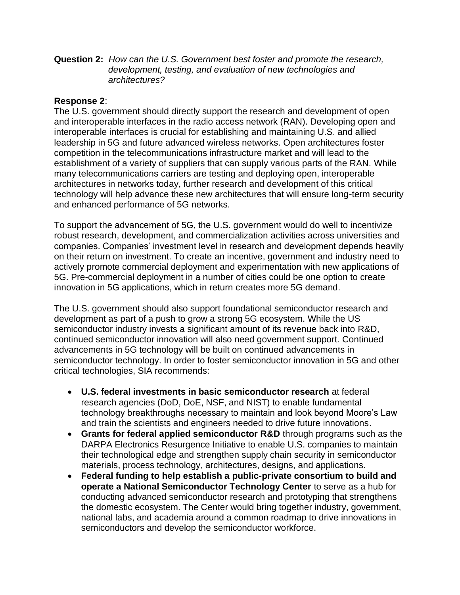**Question 2:** *How can the U.S. Government best foster and promote the research, development, testing, and evaluation of new technologies and architectures?*

#### **Response 2**:

The U.S. government should directly support the research and development of open and interoperable interfaces in the radio access network (RAN). Developing open and interoperable interfaces is crucial for establishing and maintaining U.S. and allied leadership in 5G and future advanced wireless networks. Open architectures foster competition in the telecommunications infrastructure market and will lead to the establishment of a variety of suppliers that can supply various parts of the RAN. While many telecommunications carriers are testing and deploying open, interoperable architectures in networks today, further research and development of this critical technology will help advance these new architectures that will ensure long-term security and enhanced performance of 5G networks.

To support the advancement of 5G, the U.S. government would do well to incentivize robust research, development, and commercialization activities across universities and companies. Companies' investment level in research and development depends heavily on their return on investment. To create an incentive, government and industry need to actively promote commercial deployment and experimentation with new applications of 5G. Pre-commercial deployment in a number of cities could be one option to create innovation in 5G applications, which in return creates more 5G demand.

The U.S. government should also support foundational semiconductor research and development as part of a push to grow a strong 5G ecosystem. While the US semiconductor industry invests a significant amount of its revenue back into R&D, continued semiconductor innovation will also need government support. Continued advancements in 5G technology will be built on continued advancements in semiconductor technology. In order to foster semiconductor innovation in 5G and other critical technologies, SIA recommends:

- **U.S. federal investments in basic semiconductor research** at federal research agencies (DoD, DoE, NSF, and NIST) to enable fundamental technology breakthroughs necessary to maintain and look beyond Moore's Law and train the scientists and engineers needed to drive future innovations.
- **Grants for federal applied semiconductor R&D** through programs such as the DARPA Electronics Resurgence Initiative to enable U.S. companies to maintain their technological edge and strengthen supply chain security in semiconductor materials, process technology, architectures, designs, and applications.
- **Federal funding to help establish a public-private consortium to build and operate a National Semiconductor Technology Center** to serve as a hub for conducting advanced semiconductor research and prototyping that strengthens the domestic ecosystem. The Center would bring together industry, government, national labs, and academia around a common roadmap to drive innovations in semiconductors and develop the semiconductor workforce.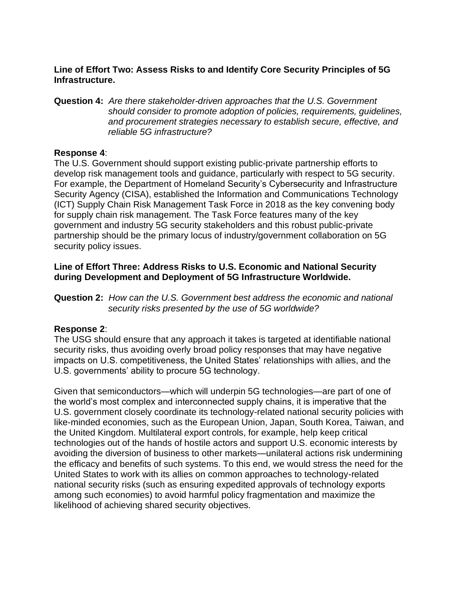**Line of Effort Two: Assess Risks to and Identify Core Security Principles of 5G Infrastructure.**

**Question 4:** *Are there stakeholder-driven approaches that the U.S. Government should consider to promote adoption of policies, requirements, guidelines, and procurement strategies necessary to establish secure, effective, and reliable 5G infrastructure?*

#### **Response 4**:

The U.S. Government should support existing public-private partnership efforts to develop risk management tools and guidance, particularly with respect to 5G security. For example, the Department of Homeland Security's Cybersecurity and Infrastructure Security Agency (CISA), established the Information and Communications Technology (ICT) Supply Chain Risk Management Task Force in 2018 as the key convening body for supply chain risk management. The Task Force features many of the key government and industry 5G security stakeholders and this robust public-private partnership should be the primary locus of industry/government collaboration on 5G security policy issues.

#### **Line of Effort Three: Address Risks to U.S. Economic and National Security during Development and Deployment of 5G Infrastructure Worldwide.**

**Question 2:** *How can the U.S. Government best address the economic and national security risks presented by the use of 5G worldwide?*

#### **Response 2**:

The USG should ensure that any approach it takes is targeted at identifiable national security risks, thus avoiding overly broad policy responses that may have negative impacts on U.S. competitiveness, the United States' relationships with allies, and the U.S. governments' ability to procure 5G technology.

Given that semiconductors—which will underpin 5G technologies—are part of one of the world's most complex and interconnected supply chains, it is imperative that the U.S. government closely coordinate its technology-related national security policies with like-minded economies, such as the European Union, Japan, South Korea, Taiwan, and the United Kingdom. Multilateral export controls, for example, help keep critical technologies out of the hands of hostile actors and support U.S. economic interests by avoiding the diversion of business to other markets—unilateral actions risk undermining the efficacy and benefits of such systems. To this end, we would stress the need for the United States to work with its allies on common approaches to technology-related national security risks (such as ensuring expedited approvals of technology exports among such economies) to avoid harmful policy fragmentation and maximize the likelihood of achieving shared security objectives.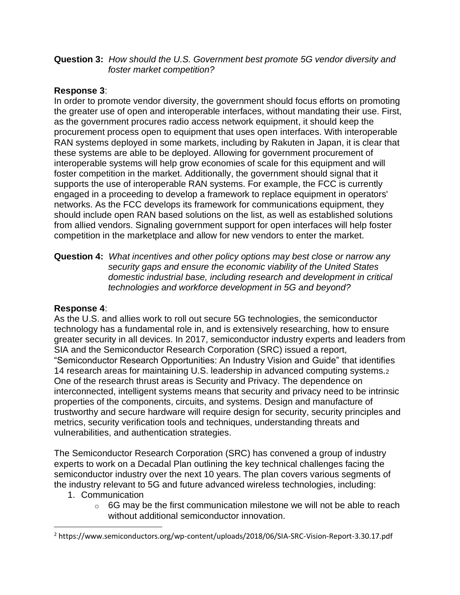#### **Question 3:** *How should the U.S. Government best promote 5G vendor diversity and foster market competition?*

# **Response 3**:

In order to promote vendor diversity, the government should focus efforts on promoting the greater use of open and interoperable interfaces, without mandating their use. First, as the government procures radio access network equipment, it should keep the procurement process open to equipment that uses open interfaces. With interoperable RAN systems deployed in some markets, including by Rakuten in Japan, it is clear that these systems are able to be deployed. Allowing for government procurement of interoperable systems will help grow economies of scale for this equipment and will foster competition in the market. Additionally, the government should signal that it supports the use of interoperable RAN systems. For example, the FCC is currently engaged in a proceeding to develop a framework to replace equipment in operators' networks. As the FCC develops its framework for communications equipment, they should include open RAN based solutions on the list, as well as established solutions from allied vendors. Signaling government support for open interfaces will help foster competition in the marketplace and allow for new vendors to enter the market.

**Question 4:** *What incentives and other policy options may best close or narrow any security gaps and ensure the economic viability of the United States domestic industrial base, including research and development in critical technologies and workforce development in 5G and beyond?*

#### **Response 4**:

As the U.S. and allies work to roll out secure 5G technologies, the semiconductor technology has a fundamental role in, and is extensively researching, how to ensure greater security in all devices. In 2017, semiconductor industry experts and leaders from SIA and the Semiconductor Research Corporation (SRC) issued a report, "Semiconductor Research Opportunities: An Industry Vision and Guide" that identifies 14 research areas for maintaining U.S. leadership in advanced computing systems.<sup>2</sup> One of the research thrust areas is Security and Privacy. The dependence on interconnected, intelligent systems means that security and privacy need to be intrinsic properties of the components, circuits, and systems. Design and manufacture of trustworthy and secure hardware will require design for security, security principles and metrics, security verification tools and techniques, understanding threats and vulnerabilities, and authentication strategies.

The Semiconductor Research Corporation (SRC) has convened a group of industry experts to work on a Decadal Plan outlining the key technical challenges facing the semiconductor industry over the next 10 years. The plan covers various segments of the industry relevant to 5G and future advanced wireless technologies, including:

- 1. Communication
	- $\circ$  6G may be the first communication milestone we will not be able to reach without additional semiconductor innovation.

<sup>2</sup> https://www.semiconductors.org/wp-content/uploads/2018/06/SIA-SRC-Vision-Report-3.30.17.pdf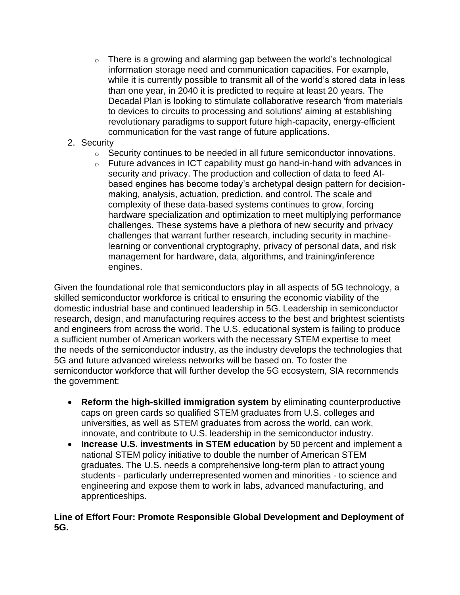$\circ$  There is a growing and alarming gap between the world's technological information storage need and communication capacities. For example, while it is currently possible to transmit all of the world's stored data in less than one year, in 2040 it is predicted to require at least 20 years. The Decadal Plan is looking to stimulate collaborative research 'from materials to devices to circuits to processing and solutions' aiming at establishing revolutionary paradigms to support future high-capacity, energy-efficient communication for the vast range of future applications.

### 2. Security

- o Security continues to be needed in all future semiconductor innovations.
- $\circ$  Future advances in ICT capability must go hand-in-hand with advances in security and privacy. The production and collection of data to feed AIbased engines has become today's archetypal design pattern for decisionmaking, analysis, actuation, prediction, and control. The scale and complexity of these data-based systems continues to grow, forcing hardware specialization and optimization to meet multiplying performance challenges. These systems have a plethora of new security and privacy challenges that warrant further research, including security in machinelearning or conventional cryptography, privacy of personal data, and risk management for hardware, data, algorithms, and training/inference engines.

Given the foundational role that semiconductors play in all aspects of 5G technology, a skilled semiconductor workforce is critical to ensuring the economic viability of the domestic industrial base and continued leadership in 5G. Leadership in semiconductor research, design, and manufacturing requires access to the best and brightest scientists and engineers from across the world. The U.S. educational system is failing to produce a sufficient number of American workers with the necessary STEM expertise to meet the needs of the semiconductor industry, as the industry develops the technologies that 5G and future advanced wireless networks will be based on. To foster the semiconductor workforce that will further develop the 5G ecosystem, SIA recommends the government:

- **Reform the high-skilled immigration system** by eliminating counterproductive caps on green cards so qualified STEM graduates from U.S. colleges and universities, as well as STEM graduates from across the world, can work, innovate, and contribute to U.S. leadership in the semiconductor industry.
- **Increase U.S. investments in STEM education** by 50 percent and implement a national STEM policy initiative to double the number of American STEM graduates. The U.S. needs a comprehensive long-term plan to attract young students - particularly underrepresented women and minorities - to science and engineering and expose them to work in labs, advanced manufacturing, and apprenticeships.

#### **Line of Effort Four: Promote Responsible Global Development and Deployment of 5G.**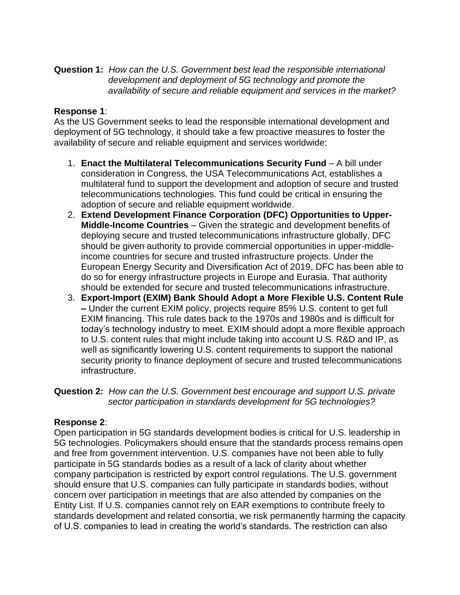**Question 1:** *How can the U.S. Government best lead the responsible international development and deployment of 5G technology and promote the availability of secure and reliable equipment and services in the market?*

# **Response 1**:

As the US Government seeks to lead the responsible international development and deployment of 5G technology, it should take a few proactive measures to foster the availability of secure and reliable equipment and services worldwide:

- 1. **Enact the Multilateral Telecommunications Security Fund** A bill under consideration in Congress, the USA Telecommunications Act, establishes a multilateral fund to support the development and adoption of secure and trusted telecommunications technologies. This fund could be critical in ensuring the adoption of secure and reliable equipment worldwide.
- 2. **Extend Development Finance Corporation (DFC) Opportunities to Upper-Middle-Income Countries** – Given the strategic and development benefits of deploying secure and trusted telecommunications infrastructure globally, DFC should be given authority to provide commercial opportunities in upper-middleincome countries for secure and trusted infrastructure projects. Under the European Energy Security and Diversification Act of 2019, DFC has been able to do so for energy infrastructure projects in Europe and Eurasia. That authority should be extended for secure and trusted telecommunications infrastructure.
- 3. **Export-Import (EXIM) Bank Should Adopt a More Flexible U.S. Content Rule –** Under the current EXIM policy, projects require 85% U.S. content to get full EXIM financing. This rule dates back to the 1970s and 1980s and is difficult for today's technology industry to meet. EXIM should adopt a more flexible approach to U.S. content rules that might include taking into account U.S. R&D and IP, as well as significantly lowering U.S. content requirements to support the national security priority to finance deployment of secure and trusted telecommunications infrastructure.

**Question 2:** *How can the U.S. Government best encourage and support U.S. private sector participation in standards development for 5G technologies?*

#### **Response 2**:

Open participation in 5G standards development bodies is critical for U.S. leadership in 5G technologies. Policymakers should ensure that the standards process remains open and free from government intervention. U.S. companies have not been able to fully participate in 5G standards bodies as a result of a lack of clarity about whether company participation is restricted by export control regulations. The U.S. government should ensure that U.S. companies can fully participate in standards bodies, without concern over participation in meetings that are also attended by companies on the Entity List. If U.S. companies cannot rely on EAR exemptions to contribute freely to standards development and related consortia, we risk permanently harming the capacity of U.S. companies to lead in creating the world's standards. The restriction can also